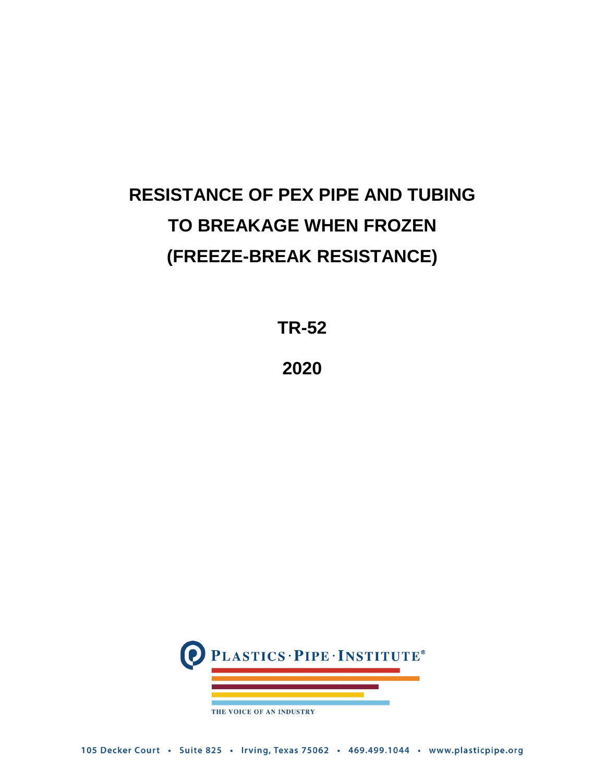# **RESISTANCE OF PEX PIPE AND TUBING TO BREAKAGE WHEN FROZEN (FREEZE-BREAK RESISTANCE)**

**TR-52**

**2020**

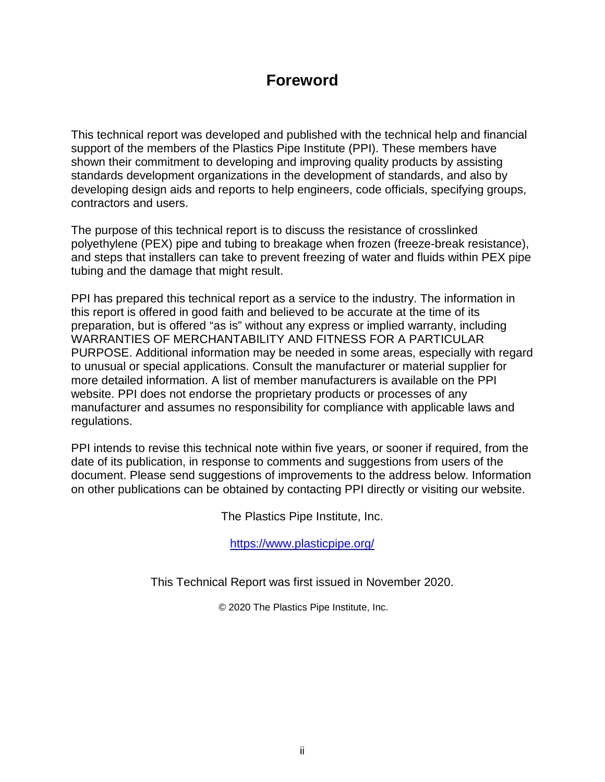### **Foreword**

This technical report was developed and published with the technical help and financial support of the members of the Plastics Pipe Institute (PPI). These members have shown their commitment to developing and improving quality products by assisting standards development organizations in the development of standards, and also by developing design aids and reports to help engineers, code officials, specifying groups, contractors and users.

The purpose of this technical report is to discuss the resistance of crosslinked polyethylene (PEX) pipe and tubing to breakage when frozen (freeze-break resistance), and steps that installers can take to prevent freezing of water and fluids within PEX pipe tubing and the damage that might result.

PPI has prepared this technical report as a service to the industry. The information in this report is offered in good faith and believed to be accurate at the time of its preparation, but is offered "as is" without any express or implied warranty, including WARRANTIES OF MERCHANTABILITY AND FITNESS FOR A PARTICULAR PURPOSE. Additional information may be needed in some areas, especially with regard to unusual or special applications. Consult the manufacturer or material supplier for more detailed information. A list of member manufacturers is available on the PPI website. PPI does not endorse the proprietary products or processes of any manufacturer and assumes no responsibility for compliance with applicable laws and regulations.

PPI intends to revise this technical note within five years, or sooner if required, from the date of its publication, in response to comments and suggestions from users of the document. Please send suggestions of improvements to the address below. Information on other publications can be obtained by contacting PPI directly or visiting our website.

The Plastics Pipe Institute, Inc.

<https://www.plasticpipe.org/>

This Technical Report was first issued in November 2020.

© 2020 The Plastics Pipe Institute, Inc.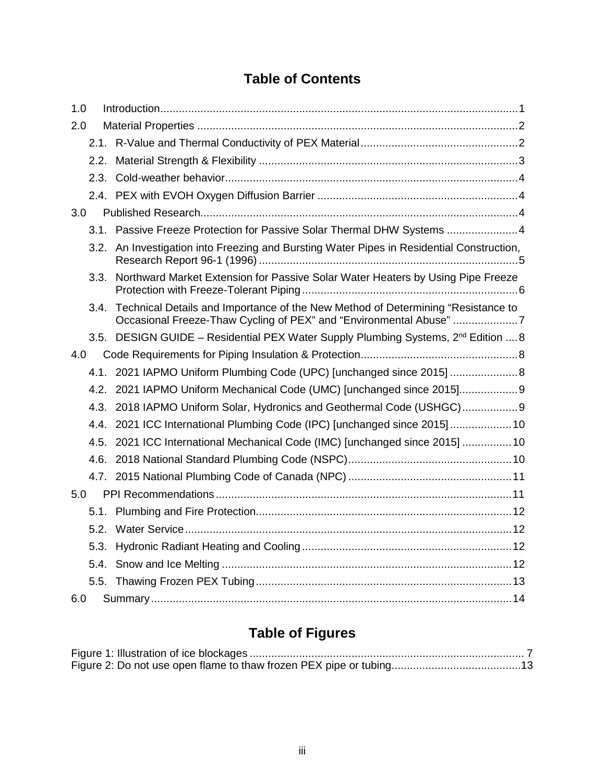### **Table of Contents**

| 1.0 |      |                                                                                                                                                             |
|-----|------|-------------------------------------------------------------------------------------------------------------------------------------------------------------|
| 2.0 |      |                                                                                                                                                             |
|     |      |                                                                                                                                                             |
|     |      |                                                                                                                                                             |
|     |      |                                                                                                                                                             |
|     |      |                                                                                                                                                             |
| 3.0 |      |                                                                                                                                                             |
|     |      | 3.1. Passive Freeze Protection for Passive Solar Thermal DHW Systems  4                                                                                     |
|     |      | 3.2. An Investigation into Freezing and Bursting Water Pipes in Residential Construction,                                                                   |
|     | 3.3. | Northward Market Extension for Passive Solar Water Heaters by Using Pipe Freeze                                                                             |
|     |      | 3.4. Technical Details and Importance of the New Method of Determining "Resistance to<br>Occasional Freeze-Thaw Cycling of PEX" and "Environmental Abuse" 7 |
|     |      | 3.5. DESIGN GUIDE - Residential PEX Water Supply Plumbing Systems, 2 <sup>nd</sup> Edition  8                                                               |
| 4.0 |      |                                                                                                                                                             |
|     |      | 4.1. 2021 IAPMO Uniform Plumbing Code (UPC) [unchanged since 2015] 8                                                                                        |
|     |      | 4.2. 2021 IAPMO Uniform Mechanical Code (UMC) [unchanged since 2015] 9                                                                                      |
|     |      | 4.3. 2018 IAPMO Uniform Solar, Hydronics and Geothermal Code (USHGC) 9                                                                                      |
|     |      | 4.4. 2021 ICC International Plumbing Code (IPC) [unchanged since 2015] 10                                                                                   |
|     |      | 4.5. 2021 ICC International Mechanical Code (IMC) [unchanged since 2015]  10                                                                                |
|     | 4.6. |                                                                                                                                                             |
|     |      |                                                                                                                                                             |
| 5.0 |      |                                                                                                                                                             |
|     |      |                                                                                                                                                             |
|     |      |                                                                                                                                                             |
|     | 5.3. |                                                                                                                                                             |
|     |      |                                                                                                                                                             |
|     |      |                                                                                                                                                             |
| 6.0 |      |                                                                                                                                                             |

## **Table of Figures**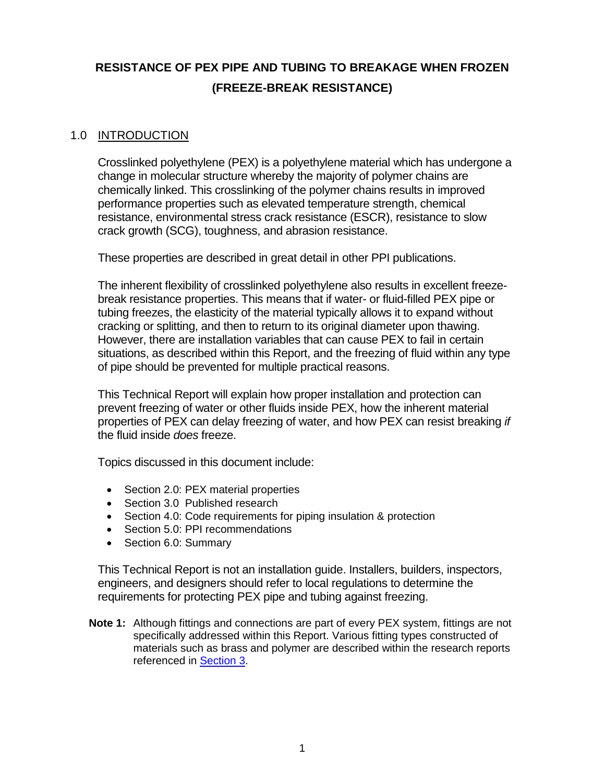### **RESISTANCE OF PEX PIPE AND TUBING TO BREAKAGE WHEN FROZEN (FREEZE-BREAK RESISTANCE)**

#### <span id="page-3-0"></span>1.0 INTRODUCTION

Crosslinked polyethylene (PEX) is a polyethylene material which has undergone a change in molecular structure whereby the majority of polymer chains are chemically linked. This crosslinking of the polymer chains results in improved performance properties such as elevated temperature strength, chemical resistance, environmental stress crack resistance (ESCR), resistance to slow crack growth (SCG), toughness, and abrasion resistance.

These properties are described in great detail in other PPI publications.

The inherent flexibility of crosslinked polyethylene also results in excellent freezebreak resistance properties. This means that if water- or fluid-filled PEX pipe or tubing freezes, the elasticity of the material typically allows it to expand without cracking or splitting, and then to return to its original diameter upon thawing. However, there are installation variables that can cause PEX to fail in certain situations, as described within this Report, and the freezing of fluid within any type of pipe should be prevented for multiple practical reasons.

This Technical Report will explain how proper installation and protection can prevent freezing of water or other fluids inside PEX, how the inherent material properties of PEX can delay freezing of water, and how PEX can resist breaking *if* the fluid inside *does* freeze.

Topics discussed in this document include:

- Section 2.0: PEX material properties
- Section 3.0 Published research
- Section 4.0: Code requirements for piping insulation & protection
- Section 5.0: PPI recommendations
- Section 6.0: Summary

This Technical Report is not an installation guide. Installers, builders, inspectors, engineers, and designers should refer to local regulations to determine the requirements for protecting PEX pipe and tubing against freezing.

**Note 1:** Although fittings and connections are part of every PEX system, fittings are not specifically addressed within this Report. Various fitting types constructed of materials such as brass and polymer are described within the research reports referenced in [Section 3.](#page-6-2)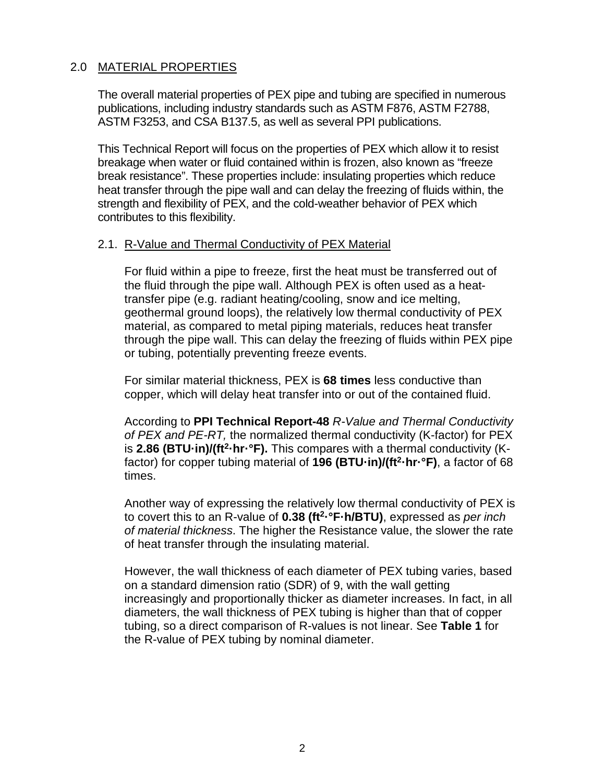#### <span id="page-4-0"></span>2.0 MATERIAL PROPERTIES

The overall material properties of PEX pipe and tubing are specified in numerous publications, including industry standards such as ASTM F876, ASTM F2788, ASTM F3253, and CSA B137.5, as well as several PPI publications.

This Technical Report will focus on the properties of PEX which allow it to resist breakage when water or fluid contained within is frozen, also known as "freeze break resistance". These properties include: insulating properties which reduce heat transfer through the pipe wall and can delay the freezing of fluids within, the strength and flexibility of PEX, and the cold-weather behavior of PEX which contributes to this flexibility.

#### <span id="page-4-1"></span>2.1. R-Value and Thermal Conductivity of PEX Material

For fluid within a pipe to freeze, first the heat must be transferred out of the fluid through the pipe wall. Although PEX is often used as a heattransfer pipe (e.g. radiant heating/cooling, snow and ice melting, geothermal ground loops), the relatively low thermal conductivity of PEX material, as compared to metal piping materials, reduces heat transfer through the pipe wall. This can delay the freezing of fluids within PEX pipe or tubing, potentially preventing freeze events.

For similar material thickness, PEX is **68 times** less conductive than copper, which will delay heat transfer into or out of the contained fluid.

According to **PPI Technical Report-48** *R-Value and Thermal Conductivity of PEX and PE-RT,* the normalized thermal conductivity (K-factor) for PEX is **2.86 (BTU·in)/(ft<sup>2</sup>·hr·°F).** This compares with a thermal conductivity (Kfactor) for copper tubing material of **196 (BTU·in)/(ft2·hr·°F)**, a factor of 68 times.

Another way of expressing the relatively low thermal conductivity of PEX is to covert this to an R-value of **0.38 (ft2·°F·h/BTU)**, expressed as *per inch of material thickness*. The higher the Resistance value, the slower the rate of heat transfer through the insulating material.

However, the wall thickness of each diameter of PEX tubing varies, based on a standard dimension ratio (SDR) of 9, with the wall getting increasingly and proportionally thicker as diameter increases. In fact, in all diameters, the wall thickness of PEX tubing is higher than that of copper tubing, so a direct comparison of R-values is not linear. See **Table 1** for the R-value of PEX tubing by nominal diameter.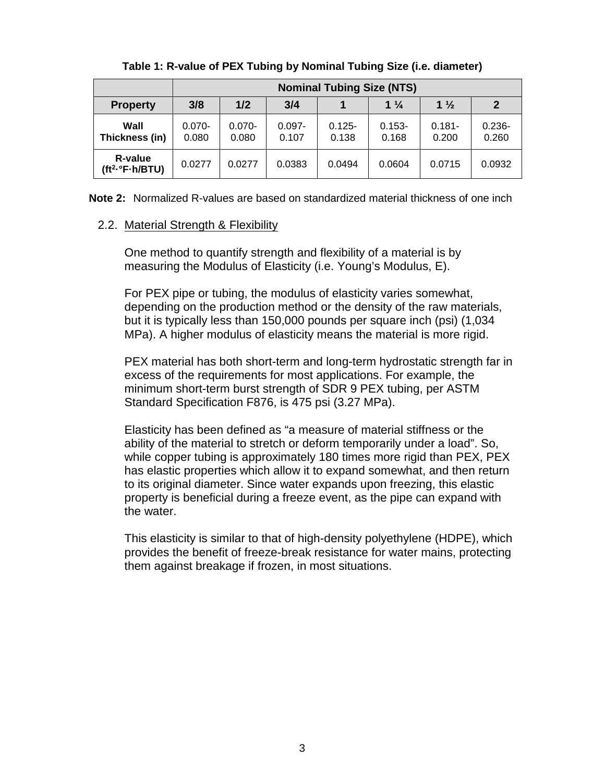|                                                            | <b>Nominal Tubing Size (NTS)</b> |                    |                    |                    |                    |                    |                    |
|------------------------------------------------------------|----------------------------------|--------------------|--------------------|--------------------|--------------------|--------------------|--------------------|
| <b>Property</b>                                            | 3/8                              | 1/2                | 3/4                |                    | $1\frac{1}{4}$     | $1\frac{1}{2}$     | $\mathbf 2$        |
| Wall<br>Thickness (in)                                     | $0.070 -$<br>0.080               | $0.070 -$<br>0.080 | $0.097 -$<br>0.107 | $0.125 -$<br>0.138 | $0.153 -$<br>0.168 | $0.181 -$<br>0.200 | $0.236 -$<br>0.260 |
| <b>R-value</b><br>(tf <sup>2</sup> · <sup>°</sup> F·h/BTU) | 0.0277                           | 0.0277             | 0.0383             | 0.0494             | 0.0604             | 0.0715             | 0.0932             |

**Table 1: R-value of PEX Tubing by Nominal Tubing Size (i.e. diameter)**

**Note 2:** Normalized R-values are based on standardized material thickness of one inch

#### <span id="page-5-0"></span>2.2. Material Strength & Flexibility

One method to quantify strength and flexibility of a material is by measuring the Modulus of Elasticity (i.e. Young's Modulus, E).

For PEX pipe or tubing, the modulus of elasticity varies somewhat, depending on the production method or the density of the raw materials, but it is typically less than 150,000 pounds per square inch (psi) (1,034 MPa). A higher modulus of elasticity means the material is more rigid.

PEX material has both short-term and long-term hydrostatic strength far in excess of the requirements for most applications. For example, the minimum short-term burst strength of SDR 9 PEX tubing, per ASTM Standard Specification F876, is 475 psi (3.27 MPa).

Elasticity has been defined as "a measure of material stiffness or the ability of the material to stretch or deform temporarily under a load". So, while copper tubing is approximately 180 times more rigid than PEX, PEX has elastic properties which allow it to expand somewhat, and then return to its original diameter. Since water expands upon freezing, this elastic property is beneficial during a freeze event, as the pipe can expand with the water.

This elasticity is similar to that of high-density polyethylene (HDPE), which provides the benefit of freeze-break resistance for water mains, protecting them against breakage if frozen, in most situations.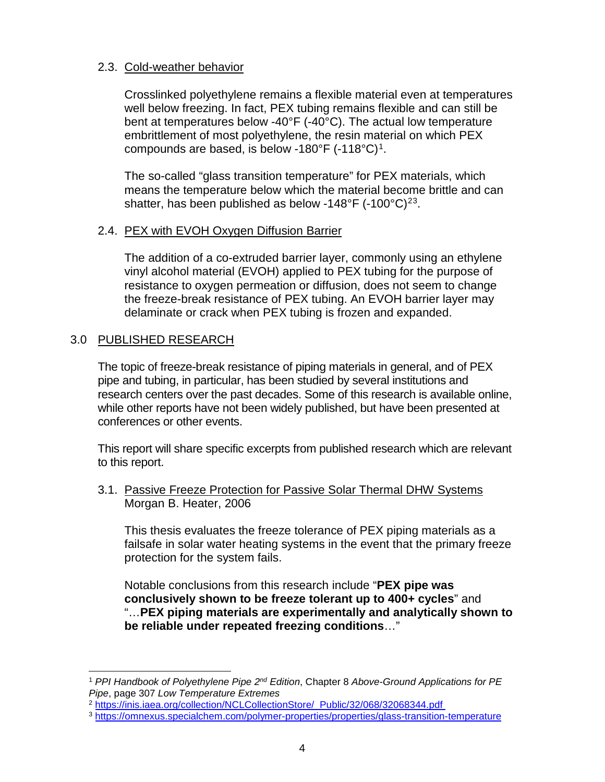#### <span id="page-6-0"></span>2.3. Cold-weather behavior

Crosslinked polyethylene remains a flexible material even at temperatures well below freezing. In fact, PEX tubing remains flexible and can still be bent at temperatures below -40°F (-40°C). The actual low temperature embrittlement of most polyethylene, the resin material on which PEX compounds are based, is below -180 $\degree$ F (-118 $\degree$ C)<sup>1</sup>.

The so-called "glass transition temperature" for PEX materials, which means the temperature below which the material become brittle and can shatter, has been published as below -148°F (-100°C)<sup>[2](#page-6-5)[3](#page-6-6)</sup>.

#### <span id="page-6-1"></span>2.4. PEX with EVOH Oxygen Diffusion Barrier

The addition of a co-extruded barrier layer, commonly using an ethylene vinyl alcohol material (EVOH) applied to PEX tubing for the purpose of resistance to oxygen permeation or diffusion, does not seem to change the freeze-break resistance of PEX tubing. An EVOH barrier layer may delaminate or crack when PEX tubing is frozen and expanded.

#### <span id="page-6-2"></span>3.0 PUBLISHED RESEARCH

The topic of freeze-break resistance of piping materials in general, and of PEX pipe and tubing, in particular, has been studied by several institutions and research centers over the past decades. Some of this research is available online, while other reports have not been widely published, but have been presented at conferences or other events.

This report will share specific excerpts from published research which are relevant to this report.

<span id="page-6-3"></span>3.1. Passive Freeze Protection for Passive Solar Thermal DHW Systems Morgan B. Heater, 2006

This thesis evaluates the freeze tolerance of PEX piping materials as a failsafe in solar water heating systems in the event that the primary freeze protection for the system fails.

Notable conclusions from this research include "**PEX pipe was conclusively shown to be freeze tolerant up to 400+ cycles**" and "…**PEX piping materials are experimentally and analytically shown to be reliable under repeated freezing conditions**…"

<span id="page-6-5"></span><sup>2</sup> [https://inis.iaea.org/collection/NCLCollectionStore/\\_Public/32/068/32068344.pdf](https://inis.iaea.org/collection/NCLCollectionStore/_Public/32/068/32068344.pdf)

<span id="page-6-4"></span> <sup>1</sup> *PPI Handbook of Polyethylene Pipe 2nd Edition*, Chapter 8 *Above-Ground Applications for PE Pipe*, page 307 *Low Temperature Extremes*

<span id="page-6-6"></span><sup>3</sup> <https://omnexus.specialchem.com/polymer-properties/properties/glass-transition-temperature>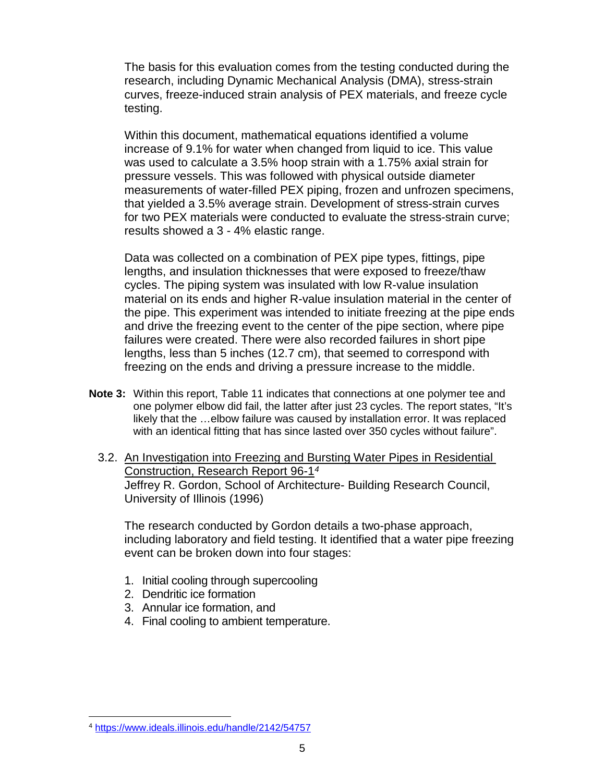The basis for this evaluation comes from the testing conducted during the research, including Dynamic Mechanical Analysis (DMA), stress-strain curves, freeze-induced strain analysis of PEX materials, and freeze cycle testing.

Within this document, mathematical equations identified a volume increase of 9.1% for water when changed from liquid to ice. This value was used to calculate a 3.5% hoop strain with a 1.75% axial strain for pressure vessels. This was followed with physical outside diameter measurements of water-filled PEX piping, frozen and unfrozen specimens, that yielded a 3.5% average strain. Development of stress-strain curves for two PEX materials were conducted to evaluate the stress-strain curve; results showed a 3 - 4% elastic range.

Data was collected on a combination of PEX pipe types, fittings, pipe lengths, and insulation thicknesses that were exposed to freeze/thaw cycles. The piping system was insulated with low R-value insulation material on its ends and higher R-value insulation material in the center of the pipe. This experiment was intended to initiate freezing at the pipe ends and drive the freezing event to the center of the pipe section, where pipe failures were created. There were also recorded failures in short pipe lengths, less than 5 inches (12.7 cm), that seemed to correspond with freezing on the ends and driving a pressure increase to the middle.

- <span id="page-7-0"></span>**Note 3:** Within this report, Table 11 indicates that connections at one polymer tee and one polymer elbow did fail, the latter after just 23 cycles. The report states, "It's likely that the …elbow failure was caused by installation error. It was replaced with an identical fitting that has since lasted over 350 cycles without failure".
	- 3.2. An Investigation into Freezing and Bursting Water Pipes in Residential Construction, Research Report 96-1*[4](#page-7-1)* Jeffrey R. Gordon, School of Architecture- Building Research Council, University of Illinois (1996)

The research conducted by Gordon details a two-phase approach, including laboratory and field testing. It identified that a water pipe freezing event can be broken down into four stages:

- 1. Initial cooling through supercooling
- 2. Dendritic ice formation
- 3. Annular ice formation, and
- 4. Final cooling to ambient temperature.

<span id="page-7-1"></span> <sup>4</sup> <https://www.ideals.illinois.edu/handle/2142/54757>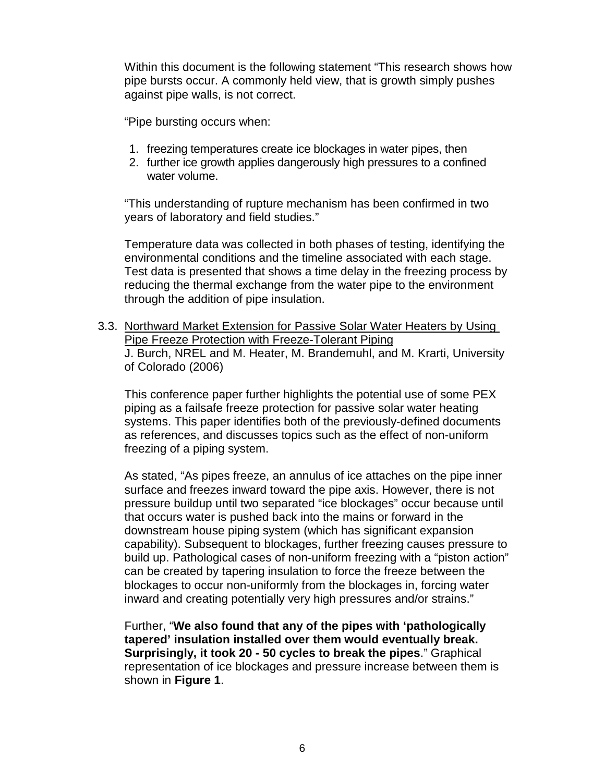Within this document is the following statement "This research shows how pipe bursts occur. A commonly held view, that is growth simply pushes against pipe walls, is not correct.

"Pipe bursting occurs when:

- 1. freezing temperatures create ice blockages in water pipes, then
- 2. further ice growth applies dangerously high pressures to a confined water volume.

"This understanding of rupture mechanism has been confirmed in two years of laboratory and field studies."

Temperature data was collected in both phases of testing, identifying the environmental conditions and the timeline associated with each stage. Test data is presented that shows a time delay in the freezing process by reducing the thermal exchange from the water pipe to the environment through the addition of pipe insulation.

<span id="page-8-0"></span>3.3. Northward Market Extension for Passive Solar Water Heaters by Using Pipe Freeze Protection with Freeze-Tolerant Piping J. Burch, NREL and M. Heater, M. Brandemuhl, and M. Krarti, University of Colorado (2006)

This conference paper further highlights the potential use of some PEX piping as a failsafe freeze protection for passive solar water heating systems. This paper identifies both of the previously-defined documents as references, and discusses topics such as the effect of non-uniform freezing of a piping system.

As stated, "As pipes freeze, an annulus of ice attaches on the pipe inner surface and freezes inward toward the pipe axis. However, there is not pressure buildup until two separated "ice blockages" occur because until that occurs water is pushed back into the mains or forward in the downstream house piping system (which has significant expansion capability). Subsequent to blockages, further freezing causes pressure to build up. Pathological cases of non-uniform freezing with a "piston action" can be created by tapering insulation to force the freeze between the blockages to occur non-uniformly from the blockages in, forcing water inward and creating potentially very high pressures and/or strains."

Further, "**We also found that any of the pipes with 'pathologically tapered' insulation installed over them would eventually break. Surprisingly, it took 20 - 50 cycles to break the pipes**." Graphical representation of ice blockages and pressure increase between them is shown in **Figure 1**.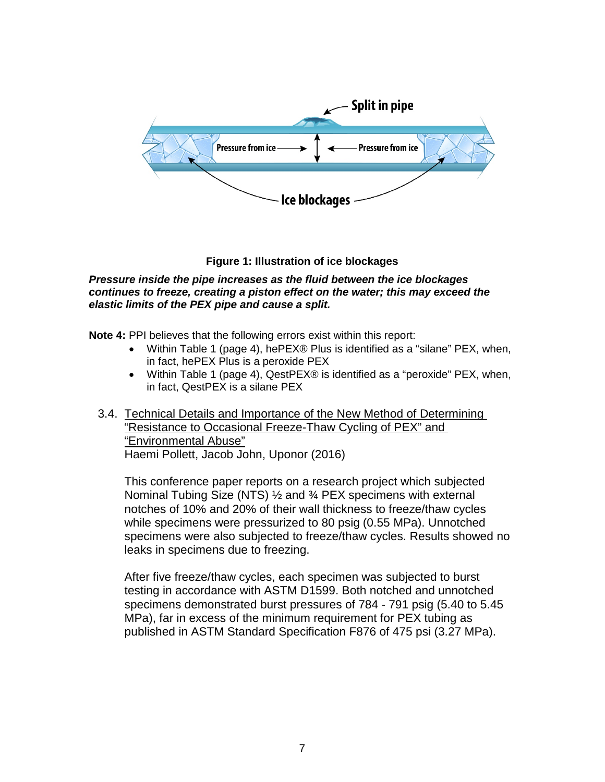

#### **Figure 1: Illustration of ice blockages**

<span id="page-9-1"></span>*Pressure inside the pipe increases as the fluid between the ice blockages continues to freeze, creating a piston effect on the water; this may exceed the elastic limits of the PEX pipe and cause a split.*

**Note 4:** PPI believes that the following errors exist within this report:

- Within Table 1 (page 4), he PEX® Plus is identified as a "silane" PEX, when, in fact, hePEX Plus is a peroxide PEX
- Within Table 1 (page 4), QestPEX® is identified as a "peroxide" PEX, when, in fact, QestPEX is a silane PEX
- <span id="page-9-0"></span>3.4. Technical Details and Importance of the New Method of Determining "Resistance to Occasional Freeze-Thaw Cycling of PEX" and "Environmental Abuse" Haemi Pollett, Jacob John, Uponor (2016)

This conference paper reports on a research project which subjected Nominal Tubing Size (NTS) 1/<sub>2</sub> and <sup>3</sup>/<sub>4</sub> PEX specimens with external notches of 10% and 20% of their wall thickness to freeze/thaw cycles while specimens were pressurized to 80 psig (0.55 MPa). Unnotched specimens were also subjected to freeze/thaw cycles. Results showed no leaks in specimens due to freezing.

After five freeze/thaw cycles, each specimen was subjected to burst testing in accordance with ASTM D1599. Both notched and unnotched specimens demonstrated burst pressures of 784 - 791 psig (5.40 to 5.45 MPa), far in excess of the minimum requirement for PEX tubing as published in ASTM Standard Specification F876 of 475 psi (3.27 MPa).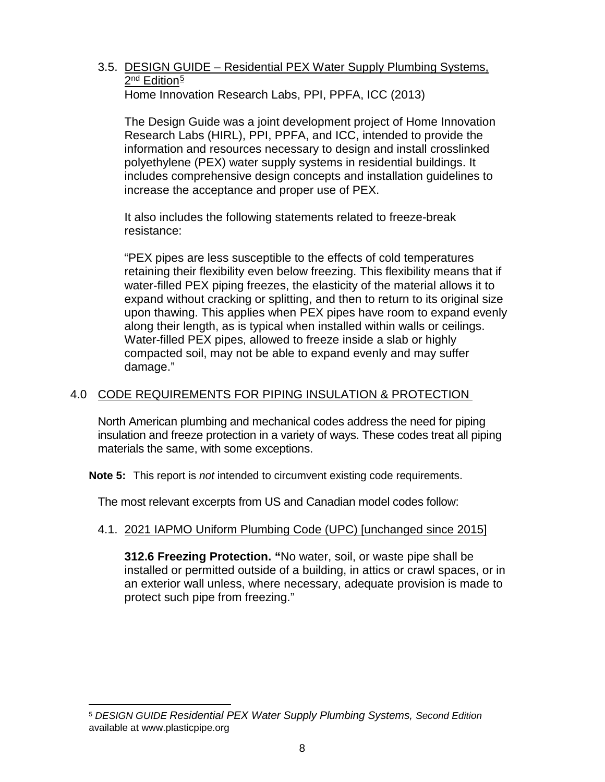#### <span id="page-10-0"></span>3.5. DESIGN GUIDE – Residential PEX Water Supply Plumbing Systems, 2<sup>nd</sup> Edition<sup>[5](#page-10-3)</sup> Home Innovation Research Labs, PPI, PPFA, ICC (2013)

The Design Guide was a joint development project of Home Innovation Research Labs (HIRL), PPI, PPFA, and ICC, intended to provide the information and resources necessary to design and install crosslinked polyethylene (PEX) water supply systems in residential buildings. It includes comprehensive design concepts and installation guidelines to increase the acceptance and proper use of PEX.

It also includes the following statements related to freeze-break resistance:

"PEX pipes are less susceptible to the effects of cold temperatures retaining their flexibility even below freezing. This flexibility means that if water-filled PEX piping freezes, the elasticity of the material allows it to expand without cracking or splitting, and then to return to its original size upon thawing. This applies when PEX pipes have room to expand evenly along their length, as is typical when installed within walls or ceilings. Water-filled PEX pipes, allowed to freeze inside a slab or highly compacted soil, may not be able to expand evenly and may suffer damage."

#### <span id="page-10-1"></span>4.0 CODE REQUIREMENTS FOR PIPING INSULATION & PROTECTION

North American plumbing and mechanical codes address the need for piping insulation and freeze protection in a variety of ways. These codes treat all piping materials the same, with some exceptions.

**Note 5:** This report is *not* intended to circumvent existing code requirements.

The most relevant excerpts from US and Canadian model codes follow:

#### <span id="page-10-2"></span>4.1. 2021 IAPMO Uniform Plumbing Code (UPC) [unchanged since 2015]

**312.6 Freezing Protection. "**No water, soil, or waste pipe shall be installed or permitted outside of a building, in attics or crawl spaces, or in an exterior wall unless, where necessary, adequate provision is made to protect such pipe from freezing."

<span id="page-10-3"></span> <sup>5</sup> *DESIGN GUIDE Residential PEX Water Supply Plumbing Systems, Second Edition* available at www.plasticpipe.org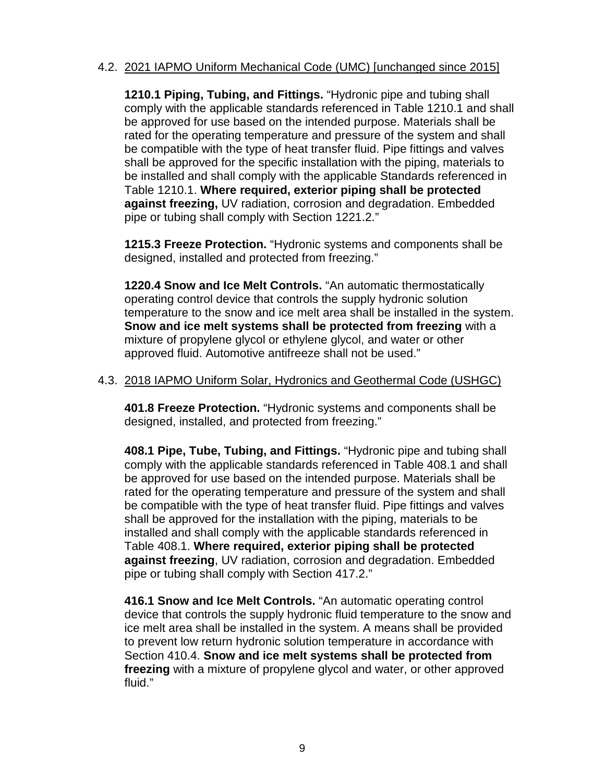#### <span id="page-11-0"></span>4.2. 2021 IAPMO Uniform Mechanical Code (UMC) [unchanged since 2015]

**1210.1 Piping, Tubing, and Fittings.** "Hydronic pipe and tubing shall comply with the applicable standards referenced in Table 1210.1 and shall be approved for use based on the intended purpose. Materials shall be rated for the operating temperature and pressure of the system and shall be compatible with the type of heat transfer fluid. Pipe fittings and valves shall be approved for the specific installation with the piping, materials to be installed and shall comply with the applicable Standards referenced in Table 1210.1. **Where required, exterior piping shall be protected against freezing,** UV radiation, corrosion and degradation. Embedded pipe or tubing shall comply with Section 1221.2."

**1215.3 Freeze Protection.** "Hydronic systems and components shall be designed, installed and protected from freezing."

**1220.4 Snow and Ice Melt Controls.** "An automatic thermostatically operating control device that controls the supply hydronic solution temperature to the snow and ice melt area shall be installed in the system. **Snow and ice melt systems shall be protected from freezing** with a mixture of propylene glycol or ethylene glycol, and water or other approved fluid. Automotive antifreeze shall not be used."

#### <span id="page-11-1"></span>4.3. 2018 IAPMO Uniform Solar, Hydronics and Geothermal Code (USHGC)

**401.8 Freeze Protection.** "Hydronic systems and components shall be designed, installed, and protected from freezing."

**408.1 Pipe, Tube, Tubing, and Fittings.** "Hydronic pipe and tubing shall comply with the applicable standards referenced in Table 408.1 and shall be approved for use based on the intended purpose. Materials shall be rated for the operating temperature and pressure of the system and shall be compatible with the type of heat transfer fluid. Pipe fittings and valves shall be approved for the installation with the piping, materials to be installed and shall comply with the applicable standards referenced in Table 408.1. **Where required, exterior piping shall be protected against freezing**, UV radiation, corrosion and degradation. Embedded pipe or tubing shall comply with Section 417.2."

**416.1 Snow and Ice Melt Controls.** "An automatic operating control device that controls the supply hydronic fluid temperature to the snow and ice melt area shall be installed in the system. A means shall be provided to prevent low return hydronic solution temperature in accordance with Section 410.4. **Snow and ice melt systems shall be protected from freezing** with a mixture of propylene glycol and water, or other approved fluid."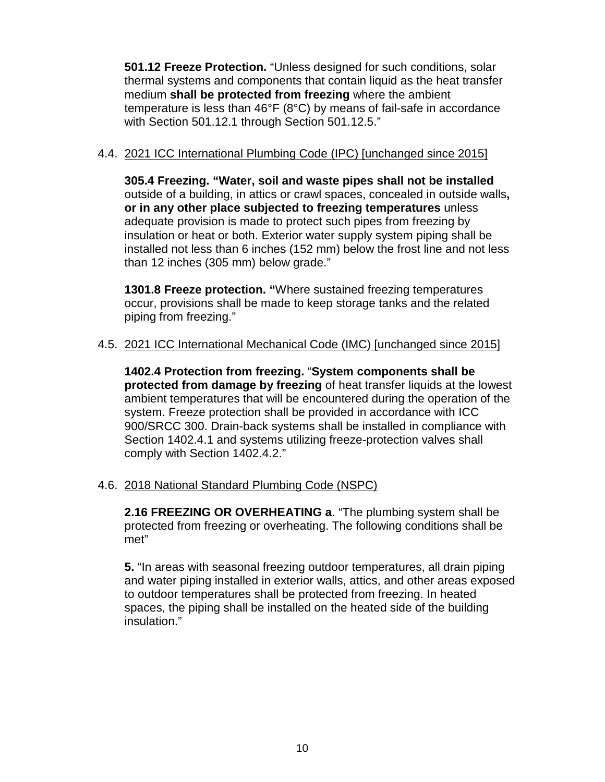**501.12 Freeze Protection.** "Unless designed for such conditions, solar thermal systems and components that contain liquid as the heat transfer medium **shall be protected from freezing** where the ambient temperature is less than 46°F (8°C) by means of fail-safe in accordance with Section 501.12.1 through Section 501.12.5."

#### <span id="page-12-0"></span>4.4. 2021 ICC International Plumbing Code (IPC) [unchanged since 2015]

**305.4 Freezing. "Water, soil and waste pipes shall not be installed**  outside of a building, in attics or crawl spaces, concealed in outside walls**, or in any other place subjected to freezing temperatures** unless adequate provision is made to protect such pipes from freezing by insulation or heat or both. Exterior water supply system piping shall be installed not less than 6 inches (152 mm) below the frost line and not less than 12 inches (305 mm) below grade."

**1301.8 Freeze protection. "**Where sustained freezing temperatures occur, provisions shall be made to keep storage tanks and the related piping from freezing."

#### <span id="page-12-1"></span>4.5. 2021 ICC International Mechanical Code (IMC) [unchanged since 2015]

**1402.4 Protection from freezing.** "**System components shall be protected from damage by freezing** of heat transfer liquids at the lowest ambient temperatures that will be encountered during the operation of the system. Freeze protection shall be provided in accordance with ICC 900/SRCC 300. Drain-back systems shall be installed in compliance with Section 1402.4.1 and systems utilizing freeze-protection valves shall comply with Section 1402.4.2."

#### <span id="page-12-2"></span>4.6. 2018 National Standard Plumbing Code (NSPC)

**2.16 FREEZING OR OVERHEATING a**. "The plumbing system shall be protected from freezing or overheating. The following conditions shall be met"

**5.** "In areas with seasonal freezing outdoor temperatures, all drain piping and water piping installed in exterior walls, attics, and other areas exposed to outdoor temperatures shall be protected from freezing. In heated spaces, the piping shall be installed on the heated side of the building insulation."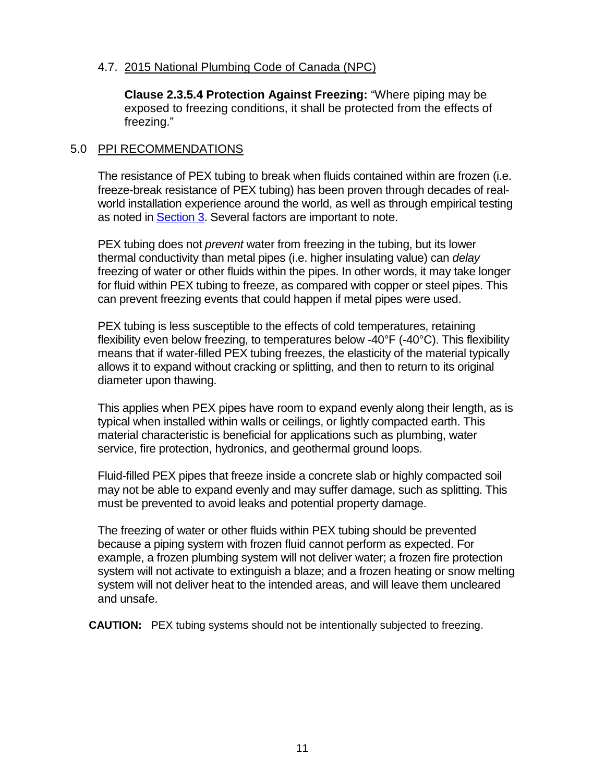#### <span id="page-13-0"></span>4.7. 2015 National Plumbing Code of Canada (NPC)

**Clause 2.3.5.4 Protection Against Freezing:** "Where piping may be exposed to freezing conditions, it shall be protected from the effects of freezing."

#### <span id="page-13-1"></span>5.0 PPI RECOMMENDATIONS

The resistance of PEX tubing to break when fluids contained within are frozen (i.e. freeze-break resistance of PEX tubing) has been proven through decades of realworld installation experience around the world, as well as through empirical testing as noted in [Section 3.](#page-6-2) Several factors are important to note.

PEX tubing does not *prevent* water from freezing in the tubing, but its lower thermal conductivity than metal pipes (i.e. higher insulating value) can *delay* freezing of water or other fluids within the pipes. In other words, it may take longer for fluid within PEX tubing to freeze, as compared with copper or steel pipes. This can prevent freezing events that could happen if metal pipes were used.

PEX tubing is less susceptible to the effects of cold temperatures, retaining flexibility even below freezing, to temperatures below -40°F (-40°C). This flexibility means that if water-filled PEX tubing freezes, the elasticity of the material typically allows it to expand without cracking or splitting, and then to return to its original diameter upon thawing.

This applies when PEX pipes have room to expand evenly along their length, as is typical when installed within walls or ceilings, or lightly compacted earth. This material characteristic is beneficial for applications such as plumbing, water service, fire protection, hydronics, and geothermal ground loops.

Fluid-filled PEX pipes that freeze inside a concrete slab or highly compacted soil may not be able to expand evenly and may suffer damage, such as splitting. This must be prevented to avoid leaks and potential property damage.

The freezing of water or other fluids within PEX tubing should be prevented because a piping system with frozen fluid cannot perform as expected. For example, a frozen plumbing system will not deliver water; a frozen fire protection system will not activate to extinguish a blaze; and a frozen heating or snow melting system will not deliver heat to the intended areas, and will leave them uncleared and unsafe.

**CAUTION:** PEX tubing systems should not be intentionally subjected to freezing.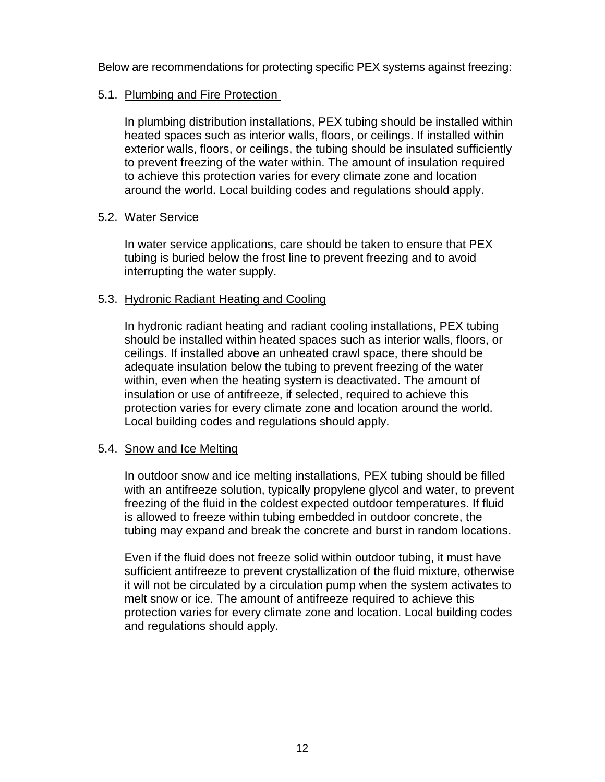Below are recommendations for protecting specific PEX systems against freezing:

#### <span id="page-14-0"></span>5.1. Plumbing and Fire Protection

In plumbing distribution installations, PEX tubing should be installed within heated spaces such as interior walls, floors, or ceilings. If installed within exterior walls, floors, or ceilings, the tubing should be insulated sufficiently to prevent freezing of the water within. The amount of insulation required to achieve this protection varies for every climate zone and location around the world. Local building codes and regulations should apply.

#### <span id="page-14-1"></span>5.2. Water Service

In water service applications, care should be taken to ensure that PEX tubing is buried below the frost line to prevent freezing and to avoid interrupting the water supply.

#### <span id="page-14-2"></span>5.3. Hydronic Radiant Heating and Cooling

In hydronic radiant heating and radiant cooling installations, PEX tubing should be installed within heated spaces such as interior walls, floors, or ceilings. If installed above an unheated crawl space, there should be adequate insulation below the tubing to prevent freezing of the water within, even when the heating system is deactivated. The amount of insulation or use of antifreeze, if selected, required to achieve this protection varies for every climate zone and location around the world. Local building codes and regulations should apply.

#### <span id="page-14-3"></span>5.4. Snow and Ice Melting

In outdoor snow and ice melting installations, PEX tubing should be filled with an antifreeze solution, typically propylene glycol and water, to prevent freezing of the fluid in the coldest expected outdoor temperatures. If fluid is allowed to freeze within tubing embedded in outdoor concrete, the tubing may expand and break the concrete and burst in random locations.

Even if the fluid does not freeze solid within outdoor tubing, it must have sufficient antifreeze to prevent crystallization of the fluid mixture, otherwise it will not be circulated by a circulation pump when the system activates to melt snow or ice. The amount of antifreeze required to achieve this protection varies for every climate zone and location. Local building codes and regulations should apply.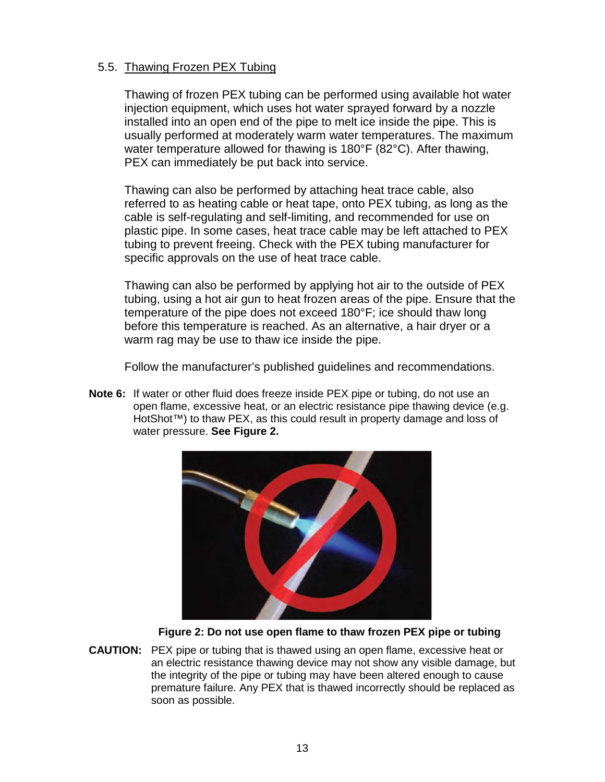#### <span id="page-15-0"></span>5.5. Thawing Frozen PEX Tubing

Thawing of frozen PEX tubing can be performed using available hot water injection equipment, which uses hot water sprayed forward by a nozzle installed into an open end of the pipe to melt ice inside the pipe. This is usually performed at moderately warm water temperatures. The maximum water temperature allowed for thawing is 180°F (82°C). After thawing, PEX can immediately be put back into service.

Thawing can also be performed by attaching heat trace cable, also referred to as heating cable or heat tape, onto PEX tubing, as long as the cable is self-regulating and self-limiting, and recommended for use on plastic pipe. In some cases, heat trace cable may be left attached to PEX tubing to prevent freeing. Check with the PEX tubing manufacturer for specific approvals on the use of heat trace cable.

Thawing can also be performed by applying hot air to the outside of PEX tubing, using a hot air gun to heat frozen areas of the pipe. Ensure that the temperature of the pipe does not exceed 180°F; ice should thaw long before this temperature is reached. As an alternative, a hair dryer or a warm rag may be use to thaw ice inside the pipe.

Follow the manufacturer's published guidelines and recommendations.

**Note 6:** If water or other fluid does freeze inside PEX pipe or tubing, do not use an open flame, excessive heat, or an electric resistance pipe thawing device (e.g. HotShot™) to thaw PEX, as this could result in property damage and loss of water pressure. **See Figure 2.**



<span id="page-15-1"></span> **Figure 2: Do not use open flame to thaw frozen PEX pipe or tubing**

**CAUTION:** PEX pipe or tubing that is thawed using an open flame, excessive heat or an electric resistance thawing device may not show any visible damage, but the integrity of the pipe or tubing may have been altered enough to cause premature failure. Any PEX that is thawed incorrectly should be replaced as soon as possible.